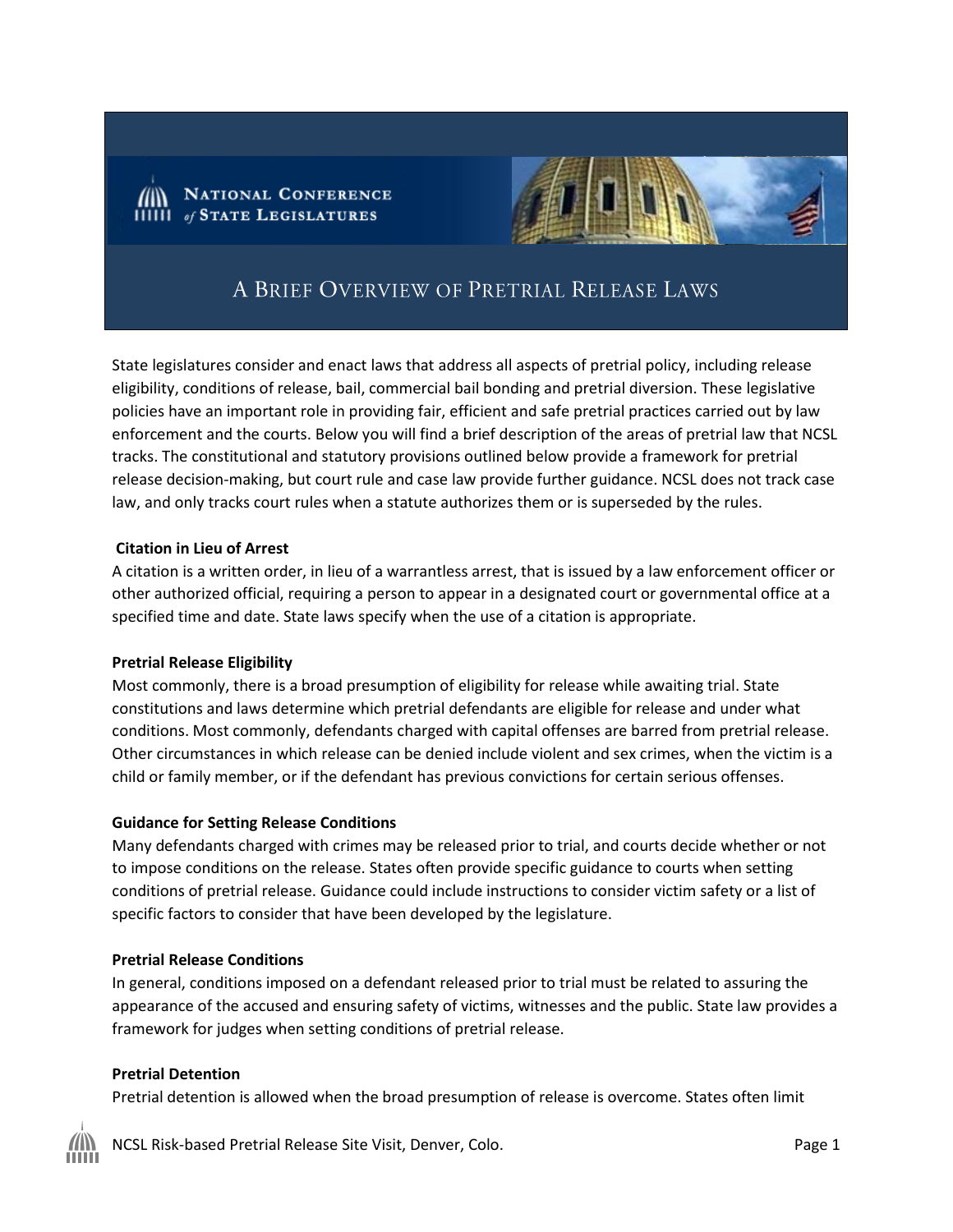



# A BRIEF OVERVIEW OF PRETRIAL RELEASE LAWS

State legislatures consider and enact laws that address all aspects of pretrial policy, including release eligibility, conditions of release, bail, commercial bail bonding and pretrial diversion. These legislative policies have an important role in providing fair, efficient and safe pretrial practices carried out by law enforcement and the courts. Below you will find a brief description of the areas of pretrial law that NCSL tracks. The constitutional and statutory provisions outlined below provide a framework for pretrial release decision-making, but court rule and case law provide further guidance. NCSL does not track case law, and only tracks court rules when a statute authorizes them or is superseded by the rules.

#### **Citation in Lieu of Arrest**

A citation is a written order, in lieu of a warrantless arrest, that is issued by a law enforcement officer or other authorized official, requiring a person to appear in a designated court or governmental office at a specified time and date. State laws specify when the use of a citation is appropriate.

#### **Pretrial Release Eligibility**

Most commonly, there is a broad presumption of eligibility for release while awaiting trial. State constitutions and laws determine which pretrial defendants are eligible for release and under what conditions. Most commonly, defendants charged with capital offenses are barred from pretrial release. Other circumstances in which release can be denied include violent and sex crimes, when the victim is a child or family member, or if the defendant has previous convictions for certain serious offenses.

#### **Guidance for Setting Release Conditions**

Many defendants charged with crimes may be released prior to trial, and courts decide whether or not to impose conditions on the release. States often provide specific guidance to courts when setting conditions of pretrial release. Guidance could include instructions to consider victim safety or a list of specific factors to consider that have been developed by the legislature.

#### **Pretrial Release Conditions**

In general, conditions imposed on a defendant released prior to trial must be related to assuring the appearance of the accused and ensuring safety of victims, witnesses and the public. State law provides a framework for judges when setting conditions of pretrial release.

### **Pretrial Detention**

Pretrial detention is allowed when the broad presumption of release is overcome. States often limit